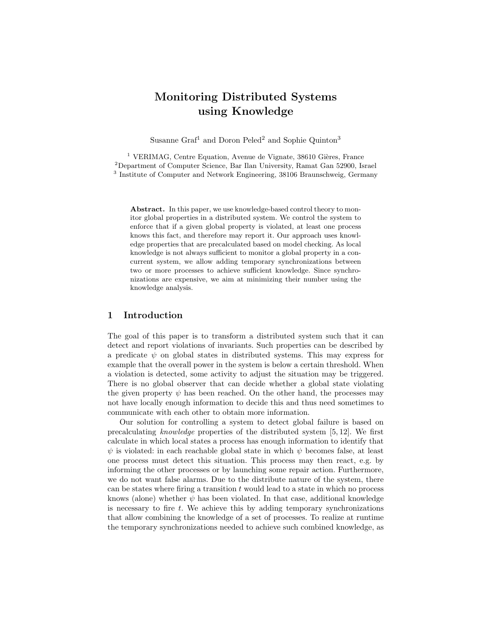# Monitoring Distributed Systems using Knowledge

Susanne Graf<sup>1</sup> and Doron Peled<sup>2</sup> and Sophie Quinton<sup>3</sup>

 $1$  VERIMAG, Centre Equation, Avenue de Vignate, 38610 Gières, France <sup>2</sup>Department of Computer Science, Bar Ilan University, Ramat Gan 52900, Israel <sup>3</sup> Institute of Computer and Network Engineering, 38106 Braunschweig, Germany

Abstract. In this paper, we use knowledge-based control theory to monitor global properties in a distributed system. We control the system to enforce that if a given global property is violated, at least one process knows this fact, and therefore may report it. Our approach uses knowledge properties that are precalculated based on model checking. As local knowledge is not always sufficient to monitor a global property in a concurrent system, we allow adding temporary synchronizations between two or more processes to achieve sufficient knowledge. Since synchronizations are expensive, we aim at minimizing their number using the knowledge analysis.

# 1 Introduction

The goal of this paper is to transform a distributed system such that it can detect and report violations of invariants. Such properties can be described by a predicate  $\psi$  on global states in distributed systems. This may express for example that the overall power in the system is below a certain threshold. When a violation is detected, some activity to adjust the situation may be triggered. There is no global observer that can decide whether a global state violating the given property  $\psi$  has been reached. On the other hand, the processes may not have locally enough information to decide this and thus need sometimes to communicate with each other to obtain more information.

Our solution for controlling a system to detect global failure is based on precalculating knowledge properties of the distributed system [5, 12]. We first calculate in which local states a process has enough information to identify that  $\psi$  is violated: in each reachable global state in which  $\psi$  becomes false, at least one process must detect this situation. This process may then react, e.g. by informing the other processes or by launching some repair action. Furthermore, we do not want false alarms. Due to the distribute nature of the system, there can be states where firing a transition  $t$  would lead to a state in which no process knows (alone) whether  $\psi$  has been violated. In that case, additional knowledge is necessary to fire  $t$ . We achieve this by adding temporary synchronizations that allow combining the knowledge of a set of processes. To realize at runtime the temporary synchronizations needed to achieve such combined knowledge, as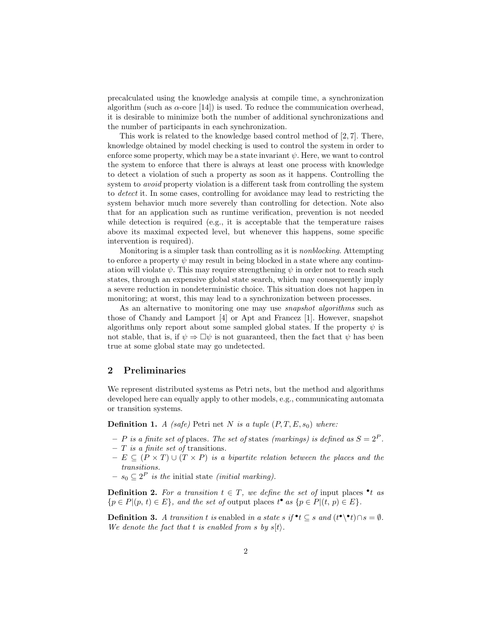precalculated using the knowledge analysis at compile time, a synchronization algorithm (such as  $\alpha$ -core [14]) is used. To reduce the communication overhead, it is desirable to minimize both the number of additional synchronizations and the number of participants in each synchronization.

This work is related to the knowledge based control method of [2, 7]. There, knowledge obtained by model checking is used to control the system in order to enforce some property, which may be a state invariant  $\psi$ . Here, we want to control the system to enforce that there is always at least one process with knowledge to detect a violation of such a property as soon as it happens. Controlling the system to *avoid* property violation is a different task from controlling the system to detect it. In some cases, controlling for avoidance may lead to restricting the system behavior much more severely than controlling for detection. Note also that for an application such as runtime verification, prevention is not needed while detection is required (e.g., it is acceptable that the temperature raises above its maximal expected level, but whenever this happens, some specific intervention is required).

Monitoring is a simpler task than controlling as it is nonblocking. Attempting to enforce a property  $\psi$  may result in being blocked in a state where any continuation will violate  $\psi$ . This may require strengthening  $\psi$  in order not to reach such states, through an expensive global state search, which may consequently imply a severe reduction in nondeterministic choice. This situation does not happen in monitoring; at worst, this may lead to a synchronization between processes.

As an alternative to monitoring one may use *snapshot algorithms* such as those of Chandy and Lamport [4] or Apt and Francez [1]. However, snapshot algorithms only report about some sampled global states. If the property  $\psi$  is not stable, that is, if  $\psi \Rightarrow \Box \psi$  is not guaranteed, then the fact that  $\psi$  has been true at some global state may go undetected.

#### 2 Preliminaries

We represent distributed systems as Petri nets, but the method and algorithms developed here can equally apply to other models, e.g., communicating automata or transition systems.

**Definition 1.** A (safe) Petri net N is a tuple  $(P, T, E, s_0)$  where:

- P is a finite set of places. The set of states (markings) is defined as  $S = 2^P$ .
- $T$  is a finite set of transitions.
- $− E ⊆ (P × T) ∪ (T × P)$  is a bipartite relation between the places and the transitions.
- $s_0 \nsubseteq 2^P$  is the initial state *(initial marking)*.

**Definition 2.** For a transition  $t \in T$ , we define the set of input places  $\bullet$  t as  ${p \in P | (p, t) \in E},$  and the set of output places  $t^{\bullet}$  as  ${p \in P | (t, p) \in E}.$ 

**Definition 3.** A transition t is enabled in a state s if  $\mathbf{e}$  t  $\subseteq$  s and  $(t^{\bullet} \setminus \mathbf{e} t) \cap s = \emptyset$ . We denote the fact that t is enabled from s by  $s(t)$ .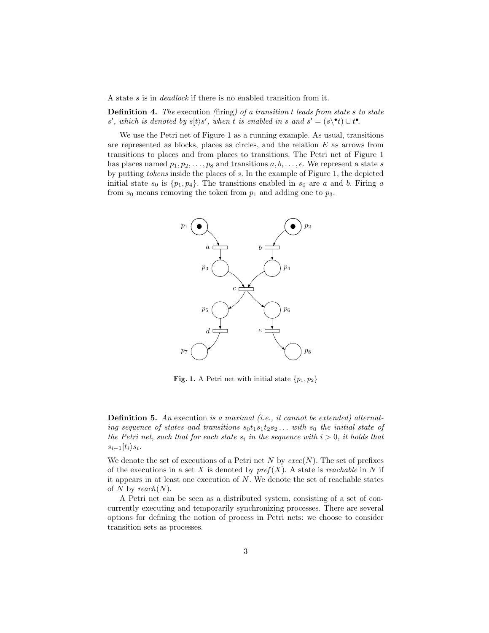A state s is in deadlock if there is no enabled transition from it.

Definition 4. The execution (firing) of a transition t leads from state s to state s', which is denoted by  $s[t\rangle s'$ , when t is enabled in s and  $s' = (s \cdot t) \cup t^{\bullet}$ .

We use the Petri net of Figure 1 as a running example. As usual, transitions are represented as blocks, places as circles, and the relation  $E$  as arrows from transitions to places and from places to transitions. The Petri net of Figure 1 has places named  $p_1, p_2, \ldots, p_8$  and transitions  $a, b, \ldots, e$ . We represent a state s by putting tokens inside the places of s. In the example of Figure 1, the depicted initial state  $s_0$  is  $\{p_1, p_4\}$ . The transitions enabled in  $s_0$  are a and b. Firing a from  $s_0$  means removing the token from  $p_1$  and adding one to  $p_3$ .



**Fig. 1.** A Petri net with initial state  $\{p_1, p_2\}$ 

**Definition 5.** An execution is a maximal (i.e., it cannot be extended) alternating sequence of states and transitions  $s_0t_1s_1t_2s_2...$  with  $s_0$  the initial state of the Petri net, such that for each state  $s_i$  in the sequence with  $i > 0$ , it holds that  $s_{i-1}(t_i)s_i$ .

We denote the set of executions of a Petri net N by  $exec(N)$ . The set of prefixes of the executions in a set X is denoted by  $pref(X)$ . A state is *reachable* in N if it appears in at least one execution of  $N$ . We denote the set of reachable states of N by reach $(N)$ .

A Petri net can be seen as a distributed system, consisting of a set of concurrently executing and temporarily synchronizing processes. There are several options for defining the notion of process in Petri nets: we choose to consider transition sets as processes.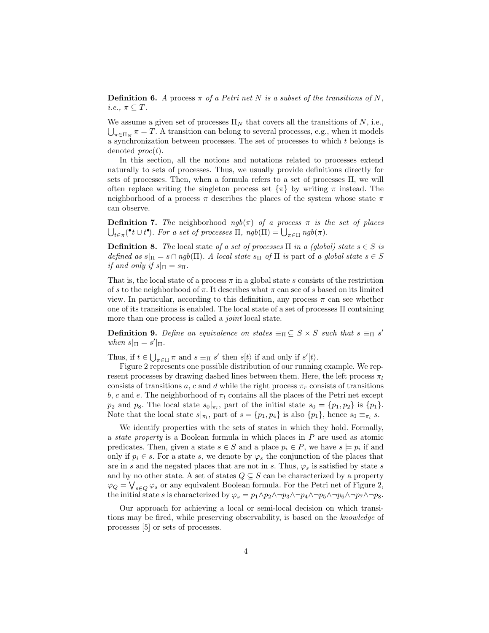**Definition 6.** A process  $\pi$  of a Petri net N is a subset of the transitions of N, *i.e.*,  $\pi \subseteq T$ .

We assume a given set of processes  $\Pi_N$  that covers all the transitions of N, i.e.,  $\bigcup_{\pi \in \Pi_N} \pi = T$ . A transition can belong to several processes, e.g., when it models a synchronization between processes. The set of processes to which t belongs is denoted  $proc(t)$ .

In this section, all the notions and notations related to processes extend naturally to sets of processes. Thus, we usually provide definitions directly for sets of processes. Then, when a formula refers to a set of processes Π, we will often replace writing the singleton process set  $\{\pi\}$  by writing  $\pi$  instead. The neighborhood of a process  $\pi$  describes the places of the system whose state  $\pi$ can observe.

**Definition 7.** The neighborhood  $ngb(\pi)$  of a process  $\pi$  is the set of places  $\bigcup_{t \in \pi} (\mathbf{P} t \cup t^{\bullet})$ . For a set of processes  $\Pi$ ,  $ngb(\Pi) = \bigcup_{\pi \in \Pi} ngb(\pi)$ .

**Definition 8.** The local state of a set of processes  $\Pi$  in a (global) state  $s \in S$  is defined as  $s|_{\Pi} = s \cap ngb(\Pi)$ . A local state  $s_{\Pi}$  of  $\Pi$  is part of a global state  $s \in S$ if and only if  $s|_{\Pi} = s_{\Pi}$ .

That is, the local state of a process  $\pi$  in a global state s consists of the restriction of s to the neighborhood of  $\pi$ . It describes what  $\pi$  can see of s based on its limited view. In particular, according to this definition, any process  $\pi$  can see whether one of its transitions is enabled. The local state of a set of processes Π containing more than one process is called a *joint* local state.

**Definition 9.** Define an equivalence on states  $\equiv_{\Pi} \subseteq S \times S$  such that  $s \equiv_{\Pi} s'$ when  $s|_{\Pi} = s'|_{\Pi}$ .

Thus, if  $t \in \bigcup_{\pi \in \Pi} \pi$  and  $s \equiv_{\Pi} s'$  then  $s[t\rangle$  if and only if  $s'[t\rangle$ .

Figure 2 represents one possible distribution of our running example. We represent processes by drawing dashed lines between them. Here, the left process  $\pi_l$ consists of transitions a, c and d while the right process  $\pi_r$  consists of transitions b, c and e. The neighborhood of  $\pi_l$  contains all the places of the Petri net except  $p_2$  and  $p_8$ . The local state  $s_0|_{\pi_l}$ , part of the initial state  $s_0 = \{p_1, p_2\}$  is  $\{p_1\}$ . Note that the local state  $s|_{\pi_l}$ , part of  $s = \{p_1, p_4\}$  is also  $\{p_1\}$ , hence  $s_0 \equiv_{\pi_l} s$ .

We identify properties with the sets of states in which they hold. Formally, a state property is a Boolean formula in which places in P are used as atomic predicates. Then, given a state  $s \in S$  and a place  $p_i \in P$ , we have  $s \models p_i$  if and only if  $p_i \in s$ . For a state s, we denote by  $\varphi_s$  the conjunction of the places that are in s and the negated places that are not in s. Thus,  $\varphi_s$  is satisfied by state s and by no other state. A set of states  $Q \subseteq S$  can be characterized by a property  $\varphi_Q = \bigvee_{s \in Q} \varphi_s$  or any equivalent Boolean formula. For the Petri net of Figure 2, the initial state s is characterized by  $\varphi_s = p_1 \wedge p_2 \wedge \neg p_3 \wedge \neg p_4 \wedge \neg p_5 \wedge \neg p_6 \wedge \neg p_7 \wedge \neg p_8$ .

Our approach for achieving a local or semi-local decision on which transitions may be fired, while preserving observability, is based on the knowledge of processes [5] or sets of processes.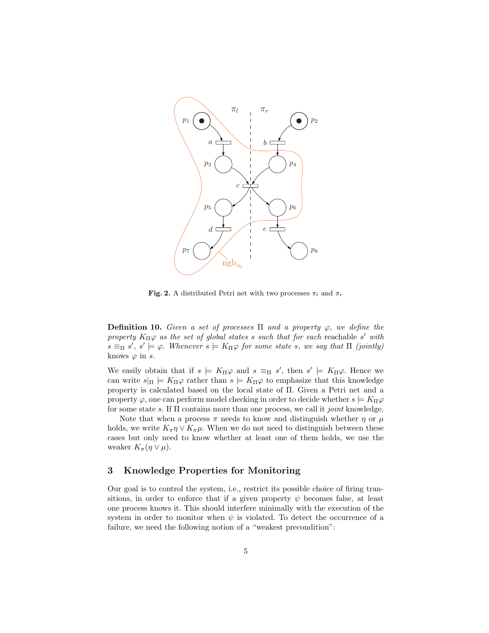

Fig. 2. A distributed Petri net with two processes  $\pi_l$  and  $\pi_r$ 

**Definition 10.** Given a set of processes  $\Pi$  and a property  $\varphi$ , we define the property  $K_{\Pi}\varphi$  as the set of global states s such that for each reachable s' with  $s \equiv_{\Pi} s'$ ,  $s' \models \varphi$ . Whenever  $s \models K_{\Pi} \varphi$  for some state s, we say that  $\Pi$  (jointly) knows  $\varphi$  in s.

We easily obtain that if  $s \models K_{\Pi} \varphi$  and  $s \equiv_{\Pi} s'$ , then  $s' \models K_{\Pi} \varphi$ . Hence we can write  $s|_{\Pi}$  =  $K_{\Pi}\varphi$  rather than  $s \models K_{\Pi}\varphi$  to emphasize that this knowledge property is calculated based on the local state of Π. Given a Petri net and a property  $\varphi$ , one can perform model checking in order to decide whether  $s \models K_{\Pi} \varphi$ for some state s. If  $\Pi$  contains more than one process, we call it *joint* knowledge.

Note that when a process  $\pi$  needs to know and distinguish whether  $\eta$  or  $\mu$ holds, we write  $K_{\pi} \eta \vee K_{\pi} \mu$ . When we do not need to distinguish between these cases but only need to know whether at least one of them holds, we use the weaker  $K_{\pi}(\eta \vee \mu)$ .

# 3 Knowledge Properties for Monitoring

Our goal is to control the system, i.e., restrict its possible choice of firing transitions, in order to enforce that if a given property  $\psi$  becomes false, at least one process knows it. This should interfere minimally with the execution of the system in order to monitor when  $\psi$  is violated. To detect the occurrence of a failure, we need the following notion of a "weakest precondition":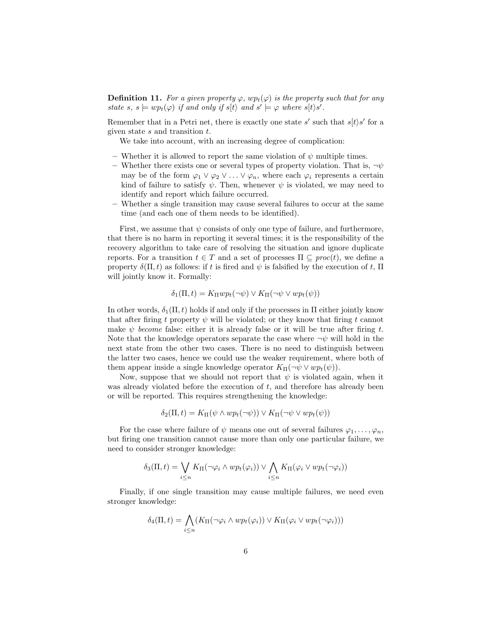**Definition 11.** For a given property  $\varphi$ ,  $wp_t(\varphi)$  is the property such that for any state s,  $s \models wp_t(\varphi)$  if and only if  $s[t]$  and  $s' \models \varphi$  where  $s[t\rangle s'.$ 

Remember that in a Petri net, there is exactly one state s' such that  $s[t]s'$  for a given state  $s$  and transition  $t$ .

We take into account, with an increasing degree of complication:

- Whether it is allowed to report the same violation of  $\psi$  multiple times.
- Whether there exists one or several types of property violation. That is,  $\neg \psi$ may be of the form  $\varphi_1 \vee \varphi_2 \vee \ldots \vee \varphi_n$ , where each  $\varphi_i$  represents a certain kind of failure to satisfy  $\psi$ . Then, whenever  $\psi$  is violated, we may need to identify and report which failure occurred.
- Whether a single transition may cause several failures to occur at the same time (and each one of them needs to be identified).

First, we assume that  $\psi$  consists of only one type of failure, and furthermore, that there is no harm in reporting it several times; it is the responsibility of the recovery algorithm to take care of resolving the situation and ignore duplicate reports. For a transition  $t \in T$  and a set of processes  $\Pi \subseteq \text{proc}(t)$ , we define a property  $\delta(\Pi, t)$  as follows: if t is fired and  $\psi$  is falsified by the execution of t,  $\Pi$ will jointly know it. Formally:

$$
\delta_1(\Pi, t) = K_{\Pi} w p_t(\neg \psi) \vee K_{\Pi}(\neg \psi \vee w p_t(\psi))
$$

In other words,  $\delta_1(\Pi, t)$  holds if and only if the processes in  $\Pi$  either jointly know that after firing t property  $\psi$  will be violated; or they know that firing t cannot make  $\psi$  become false: either it is already false or it will be true after firing t. Note that the knowledge operators separate the case where  $\neg \psi$  will hold in the next state from the other two cases. There is no need to distinguish between the latter two cases, hence we could use the weaker requirement, where both of them appear inside a single knowledge operator  $K_{\Pi}(\neg \psi \vee wp_t(\psi)).$ 

Now, suppose that we should not report that  $\psi$  is violated again, when it was already violated before the execution of  $t$ , and therefore has already been or will be reported. This requires strengthening the knowledge:

$$
\delta_2(\Pi, t) = K_{\Pi}(\psi \wedge wp_t(\neg \psi)) \vee K_{\Pi}(\neg \psi \vee wp_t(\psi))
$$

For the case where failure of  $\psi$  means one out of several failures  $\varphi_1, \ldots, \varphi_n$ , but firing one transition cannot cause more than only one particular failure, we need to consider stronger knowledge:

$$
\delta_3(\Pi, t) = \bigvee_{i \leq n} K_{\Pi}(\neg \varphi_i \wedge wp_t(\varphi_i)) \vee \bigwedge_{i \leq n} K_{\Pi}(\varphi_i \vee wp_t(\neg \varphi_i))
$$

Finally, if one single transition may cause multiple failures, we need even stronger knowledge:

$$
\delta_4(\Pi, t) = \bigwedge_{i \leq n} (K_{\Pi}(\neg \varphi_i \wedge wp_t(\varphi_i)) \vee K_{\Pi}(\varphi_i \vee wp_t(\neg \varphi_i)))
$$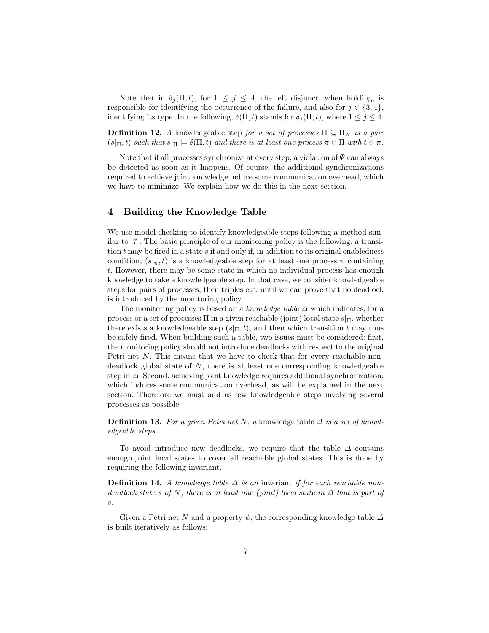Note that in  $\delta_i(\Pi, t)$ , for  $1 \leq j \leq 4$ , the left disjunct, when holding, is responsible for identifying the occurrence of the failure, and also for  $j \in \{3, 4\}$ , identifying its type. In the following,  $\delta(\Pi, t)$  stands for  $\delta_i(\Pi, t)$ , where  $1 \leq j \leq 4$ .

**Definition 12.** A knowledgeable step for a set of processes  $\Pi \subseteq \Pi_N$  is a pair  $(s|_{\Pi}, t)$  such that  $s|_{\Pi} \models \delta(\Pi, t)$  and there is at least one process  $\pi \in \Pi$  with  $t \in \pi$ .

Note that if all processes synchronize at every step, a violation of  $\Psi$  can always be detected as soon as it happens. Of course, the additional synchronizations required to achieve joint knowledge induce some communication overhead, which we have to minimize. We explain how we do this in the next section.

#### 4 Building the Knowledge Table

We use model checking to identify knowledgeable steps following a method similar to [7]. The basic principle of our monitoring policy is the following: a transition  $t$  may be fired in a state  $s$  if and only if, in addition to its original enabledness condition,  $(s|\pi, t)$  is a knowledgeable step for at least one process  $\pi$  containing t. However, there may be some state in which no individual process has enough knowledge to take a knowledgeable step. In that case, we consider knowledgeable steps for pairs of processes, then triples etc. until we can prove that no deadlock is introduced by the monitoring policy.

The monitoring policy is based on a knowledge table  $\Delta$  which indicates, for a process or a set of processes  $\Pi$  in a given reachable (joint) local state  $s|_{\Pi}$ , whether there exists a knowledgeable step  $(s|_{\Pi}, t)$ , and then which transition t may thus be safely fired. When building such a table, two issues must be considered: first, the monitoring policy should not introduce deadlocks with respect to the original Petri net N. This means that we have to check that for every reachable nondeadlock global state of  $N$ , there is at least one corresponding knowledgeable step in ∆. Second, achieving joint knowledge requires additional synchronization, which induces some communication overhead, as will be explained in the next section. Therefore we must add as few knowledgeable steps involving several processes as possible.

**Definition 13.** For a given Petri net N, a knowledge table  $\Delta$  is a set of knowledgeable steps.

To avoid introduce new deadlocks, we require that the table  $\Delta$  contains enough joint local states to cover all reachable global states. This is done by requiring the following invariant.

**Definition 14.** A knowledge table  $\Delta$  is an invariant if for each reachable nondeadlock state s of N, there is at least one (joint) local state in  $\Delta$  that is part of s.

Given a Petri net N and a property  $\psi$ , the corresponding knowledge table  $\Delta$ is built iteratively as follows: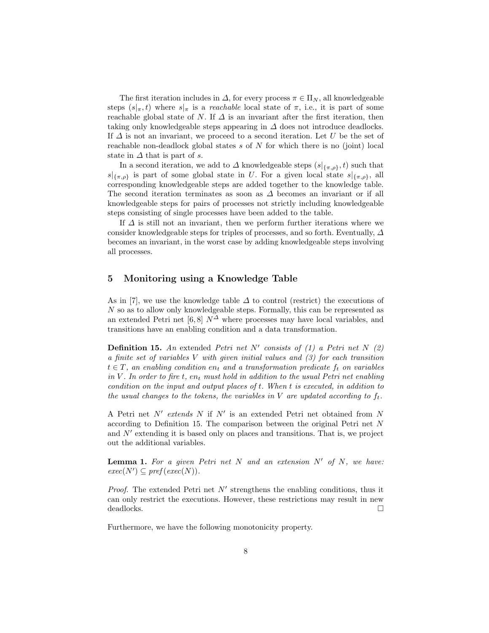The first iteration includes in  $\Delta$ , for every process  $\pi \in \Pi_N$ , all knowledgeable steps  $(s|_{\pi}, t)$  where  $s|_{\pi}$  is a *reachable* local state of  $\pi$ , i.e., it is part of some reachable global state of N. If  $\Delta$  is an invariant after the first iteration, then taking only knowledgeable steps appearing in  $\Delta$  does not introduce deadlocks. If  $\Delta$  is not an invariant, we proceed to a second iteration. Let U be the set of reachable non-deadlock global states  $s$  of  $N$  for which there is no (joint) local state in  $\Delta$  that is part of s.

In a second iteration, we add to  $\Delta$  knowledgeable steps  $(s|_{\{\pi,\rho\}}, t)$  such that  $s|_{\{\pi,\rho\}}$  is part of some global state in U. For a given local state  $s|_{\{\pi,\rho\}}$ , all corresponding knowledgeable steps are added together to the knowledge table. The second iteration terminates as soon as ∆ becomes an invariant or if all knowledgeable steps for pairs of processes not strictly including knowledgeable steps consisting of single processes have been added to the table.

If  $\Delta$  is still not an invariant, then we perform further iterations where we consider knowledgeable steps for triples of processes, and so forth. Eventually,  $\Delta$ becomes an invariant, in the worst case by adding knowledgeable steps involving all processes.

#### 5 Monitoring using a Knowledge Table

As in [7], we use the knowledge table  $\Delta$  to control (restrict) the executions of N so as to allow only knowledgeable steps. Formally, this can be represented as an extended Petri net [6,8]  $N^{\Delta}$  where processes may have local variables, and transitions have an enabling condition and a data transformation.

**Definition 15.** An extended Petri net N' consists of  $(1)$  a Petri net N  $(2)$ a finite set of variables V with given initial values and (3) for each transition  $t \in T$ , an enabling condition en<sub>t</sub> and a transformation predicate  $f_t$  on variables in V. In order to fire  $t$ ,  $en_t$  must hold in addition to the usual Petri net enabling condition on the input and output places of t. When t is executed, in addition to the usual changes to the tokens, the variables in V are updated according to  $f_t$ .

A Petri net  $N'$  extends N if  $N'$  is an extended Petri net obtained from N according to Definition 15. The comparison between the original Petri net N and  $N'$  extending it is based only on places and transitions. That is, we project out the additional variables.

**Lemma 1.** For a given Petri net N and an extension  $N'$  of N, we have:  $exec(N') \subseteq pref(exec(N)).$ 

*Proof.* The extended Petri net  $N'$  strengthens the enabling conditions, thus it can only restrict the executions. However, these restrictions may result in new deadlocks.  $\Box$ 

Furthermore, we have the following monotonicity property.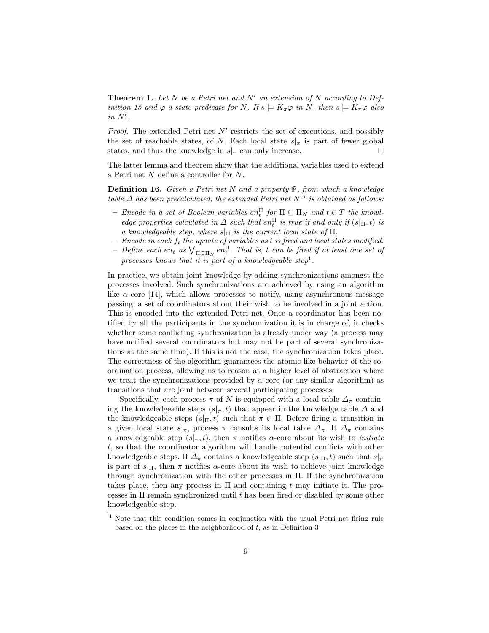**Theorem 1.** Let N be a Petri net and N' an extension of N according to Definition 15 and  $\varphi$  a state predicate for N. If  $s \models K_{\pi} \varphi$  in N, then  $s \models K_{\pi} \varphi$  also  $in N'.$ 

*Proof.* The extended Petri net  $N'$  restricts the set of executions, and possibly the set of reachable states, of N. Each local state  $s|_{\pi}$  is part of fewer global states, and thus the knowledge in  $s|_\pi$  can only increase.

The latter lemma and theorem show that the additional variables used to extend a Petri net N define a controller for N.

**Definition 16.** Given a Petri net N and a property  $\Psi$ , from which a knowledge table  $\Delta$  has been precalculated, the extended Petri net  $N^{\Delta}$  is obtained as follows:

- Encode in a set of Boolean variables  $en_t^{\Pi}$  for  $\Pi \subseteq \Pi_N$  and  $t \in T$  the knowledge properties calculated in  $\Delta$  such that en<sup> $\Pi$ </sup> is true if and only if  $(s|_{\Pi}, t)$  is a knowledgeable step, where  $s|_{\Pi}$  is the current local state of  $\Pi$ .
- $-$  Encode in each  $f_t$  the update of variables as t is fired and local states modified.
- $-$  Define each en<sub>t</sub> as  $\bigvee_{\Pi \subseteq \Pi_N} en_t^{\Pi}$ . That is, t can be fired if at least one set of processes knows that it is part of a knowledgeable step<sup>1</sup>.

In practice, we obtain joint knowledge by adding synchronizations amongst the processes involved. Such synchronizations are achieved by using an algorithm like  $\alpha$ -core [14], which allows processes to notify, using asynchronous message passing, a set of coordinators about their wish to be involved in a joint action. This is encoded into the extended Petri net. Once a coordinator has been notified by all the participants in the synchronization it is in charge of, it checks whether some conflicting synchronization is already under way (a process may have notified several coordinators but may not be part of several synchronizations at the same time). If this is not the case, the synchronization takes place. The correctness of the algorithm guarantees the atomic-like behavior of the coordination process, allowing us to reason at a higher level of abstraction where we treat the synchronizations provided by  $\alpha$ -core (or any similar algorithm) as transitions that are joint between several participating processes.

Specifically, each process  $\pi$  of N is equipped with a local table  $\Delta_{\pi}$  containing the knowledgeable steps  $(s|_{\pi}, t)$  that appear in the knowledge table  $\Delta$  and the knowledgeable steps  $(s|_{\Pi}, t)$  such that  $\pi \in \Pi$ . Before firing a transition in a given local state  $s|_{\pi}$ , process  $\pi$  consults its local table  $\Delta_{\pi}$ . It  $\Delta_{\pi}$  contains a knowledgeable step  $(s|_\pi, t)$ , then  $\pi$  notifies  $\alpha$ -core about its wish to *initiate* t, so that the coordinator algorithm will handle potential conflicts with other knowledgeable steps. If  $\Delta_{\pi}$  contains a knowledgeable step  $(s|_{\Pi}, t)$  such that  $s|_{\pi}$ is part of  $s|_{\Pi}$ , then  $\pi$  notifies  $\alpha$ -core about its wish to achieve joint knowledge through synchronization with the other processes in Π. If the synchronization takes place, then any process in  $\Pi$  and containing t may initiate it. The processes in Π remain synchronized until t has been fired or disabled by some other knowledgeable step.

<sup>&</sup>lt;sup>1</sup> Note that this condition comes in conjunction with the usual Petri net firing rule based on the places in the neighborhood of  $t$ , as in Definition 3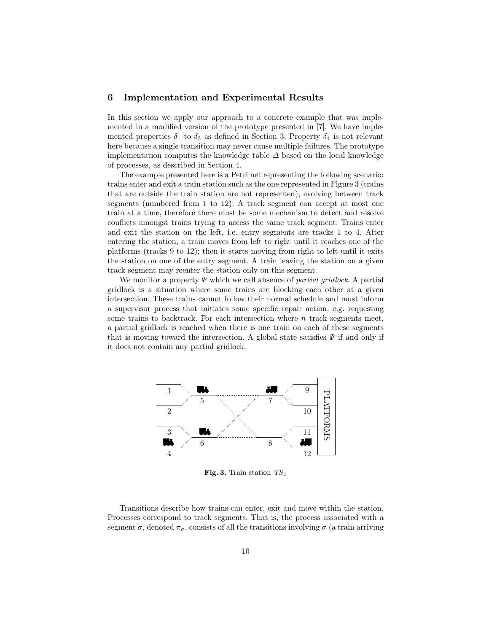# 6 Implementation and Experimental Results

In this section we apply our approach to a concrete example that was implemented in a modified version of the prototype presented in [7]. We have implemented properties  $\delta_1$  to  $\delta_3$  as defined in Section 3. Property  $\delta_4$  is not relevant here because a single transition may never cause multiple failures. The prototype implementation computes the knowledge table  $\Delta$  based on the local knowledge of processes, as described in Section 4.

The example presented here is a Petri net representing the following scenario: trains enter and exit a train station such as the one represented in Figure 3 (trains that are outside the train station are not represented), evolving between track segments (numbered from 1 to 12). A track segment can accept at most one train at a time, therefore there must be some mechanism to detect and resolve conflicts amongst trains trying to access the same track segment. Trains enter and exit the station on the left, i.e. entry segments are tracks 1 to 4. After entering the station, a train moves from left to right until it reaches one of the platforms (tracks 9 to 12); then it starts moving from right to left until it exits the station on one of the entry segment. A train leaving the station on a given track segment may reenter the station only on this segment.

We monitor a property  $\Psi$  which we call absence of *partial gridlock*. A partial gridlock is a situation where some trains are blocking each other at a given intersection. These trains cannot follow their normal schedule and must inform a supervisor process that initiates some specific repair action, e.g. requesting some trains to backtrack. For each intersection where  $n$  track segments meet, a partial gridlock is reached when there is one train on each of these segments that is moving toward the intersection. A global state satisfies  $\Psi$  if and only if it does not contain any partial gridlock.



Fig. 3. Train station  $TS_1$ 

Transitions describe how trains can enter, exit and move within the station. Processes correspond to track segments. That is, the process associated with a segment  $\sigma$ , denoted  $\pi_{\sigma}$ , consists of all the transitions involving  $\sigma$  (a train arriving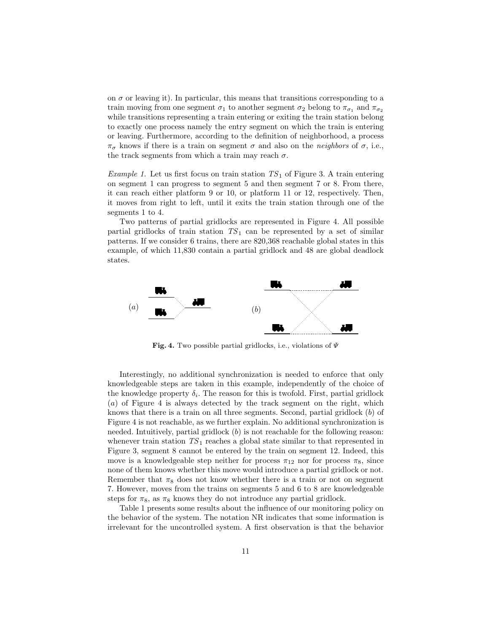on  $\sigma$  or leaving it). In particular, this means that transitions corresponding to a train moving from one segment  $\sigma_1$  to another segment  $\sigma_2$  belong to  $\pi_{\sigma_1}$  and  $\pi_{\sigma_2}$ while transitions representing a train entering or exiting the train station belong to exactly one process namely the entry segment on which the train is entering or leaving. Furthermore, according to the definition of neighborhood, a process  $\pi_{\sigma}$  knows if there is a train on segment  $\sigma$  and also on the *neighbors* of  $\sigma$ , i.e., the track segments from which a train may reach  $\sigma$ .

*Example 1.* Let us first focus on train station  $TS_1$  of Figure 3. A train entering on segment 1 can progress to segment 5 and then segment 7 or 8. From there, it can reach either platform 9 or 10, or platform 11 or 12, respectively. Then, it moves from right to left, until it exits the train station through one of the segments 1 to 4.

Two patterns of partial gridlocks are represented in Figure 4. All possible partial gridlocks of train station  $TS_1$  can be represented by a set of similar patterns. If we consider 6 trains, there are 820,368 reachable global states in this example, of which 11,830 contain a partial gridlock and 48 are global deadlock states.



Fig. 4. Two possible partial gridlocks, i.e., violations of  $\Psi$ 

Interestingly, no additional synchronization is needed to enforce that only knowledgeable steps are taken in this example, independently of the choice of the knowledge property  $\delta_i$ . The reason for this is twofold. First, partial gridlock (a) of Figure 4 is always detected by the track segment on the right, which knows that there is a train on all three segments. Second, partial gridlock (b) of Figure 4 is not reachable, as we further explain. No additional synchronization is needed. Intuitively, partial gridlock  $(b)$  is not reachable for the following reason: whenever train station  $TS_1$  reaches a global state similar to that represented in Figure 3, segment 8 cannot be entered by the train on segment 12. Indeed, this move is a knowledgeable step neither for process  $\pi_{12}$  nor for process  $\pi_8$ , since none of them knows whether this move would introduce a partial gridlock or not. Remember that  $\pi_8$  does not know whether there is a train or not on segment 7. However, moves from the trains on segments 5 and 6 to 8 are knowledgeable steps for  $\pi_8$ , as  $\pi_8$  knows they do not introduce any partial gridlock.

Table 1 presents some results about the influence of our monitoring policy on the behavior of the system. The notation NR indicates that some information is irrelevant for the uncontrolled system. A first observation is that the behavior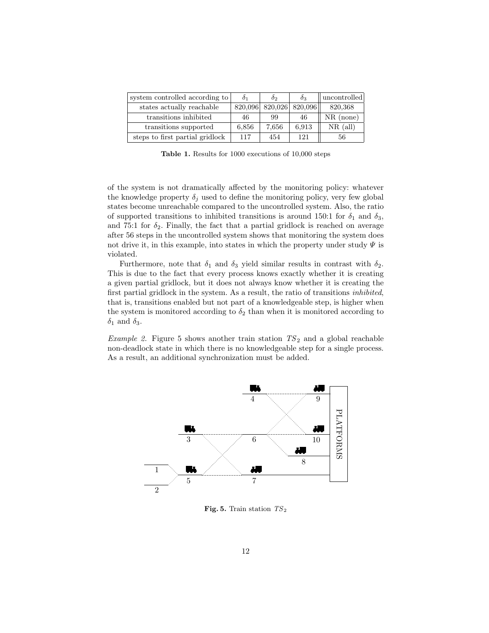| system controlled according to  | $\delta_1$ | $\delta_2$ | $\delta_3$ | uncontrolled |
|---------------------------------|------------|------------|------------|--------------|
| states actually reachable       | 820,096    | 820,026    | 820.096    | 820,368      |
| transitions inhibited           | 46         | 99         | 46         | $NR$ (none)  |
| transitions supported           | 6,856      | 7.656      | 6,913      | $NR$ (all)   |
| steps to first partial gridlock | 117        | 454        | 121        | 56           |

Table 1. Results for 1000 executions of 10,000 steps

of the system is not dramatically affected by the monitoring policy: whatever the knowledge property  $\delta_j$  used to define the monitoring policy, very few global states become unreachable compared to the uncontrolled system. Also, the ratio of supported transitions to inhibited transitions is around 150:1 for  $\delta_1$  and  $\delta_3$ , and 75:1 for  $\delta_2$ . Finally, the fact that a partial gridlock is reached on average after 56 steps in the uncontrolled system shows that monitoring the system does not drive it, in this example, into states in which the property under study  $\Psi$  is violated.

Furthermore, note that  $\delta_1$  and  $\delta_3$  yield similar results in contrast with  $\delta_2$ . This is due to the fact that every process knows exactly whether it is creating a given partial gridlock, but it does not always know whether it is creating the first partial gridlock in the system. As a result, the ratio of transitions inhibited, that is, transitions enabled but not part of a knowledgeable step, is higher when the system is monitored according to  $\delta_2$  than when it is monitored according to  $\delta_1$  and  $\delta_3$ .

*Example 2.* Figure 5 shows another train station  $TS_2$  and a global reachable non-deadlock state in which there is no knowledgeable step for a single process. As a result, an additional synchronization must be added.



Fig. 5. Train station  $TS<sub>2</sub>$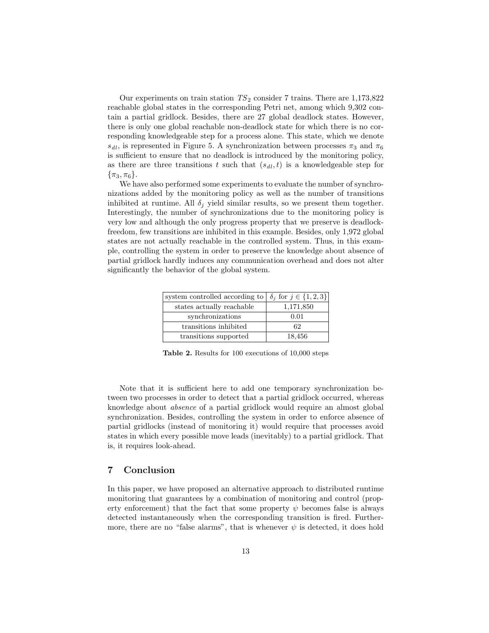Our experiments on train station  $TS_2$  consider 7 trains. There are  $1,173,822$ reachable global states in the corresponding Petri net, among which 9,302 contain a partial gridlock. Besides, there are 27 global deadlock states. However, there is only one global reachable non-deadlock state for which there is no corresponding knowledgeable step for a process alone. This state, which we denote  $s_{dl}$ , is represented in Figure 5. A synchronization between processes  $\pi_3$  and  $\pi_6$ is sufficient to ensure that no deadlock is introduced by the monitoring policy, as there are three transitions t such that  $(s_{d_l}, t)$  is a knowledgeable step for  $\{\pi_3, \pi_6\}.$ 

We have also performed some experiments to evaluate the number of synchronizations added by the monitoring policy as well as the number of transitions inhibited at runtime. All  $\delta_j$  yield similar results, so we present them together. Interestingly, the number of synchronizations due to the monitoring policy is very low and although the only progress property that we preserve is deadlockfreedom, few transitions are inhibited in this example. Besides, only 1,972 global states are not actually reachable in the controlled system. Thus, in this example, controlling the system in order to preserve the knowledge about absence of partial gridlock hardly induces any communication overhead and does not alter significantly the behavior of the global system.

| system controlled according to $\delta_j$ for $j \in \{1, 2, 3\}$ |           |
|-------------------------------------------------------------------|-----------|
| states actually reachable                                         | 1,171,850 |
| synchronizations                                                  | 0.01      |
| transitions inhibited                                             | 62        |
| transitions supported                                             | 18,456    |

Table 2. Results for 100 executions of 10,000 steps

Note that it is sufficient here to add one temporary synchronization between two processes in order to detect that a partial gridlock occurred, whereas knowledge about absence of a partial gridlock would require an almost global synchronization. Besides, controlling the system in order to enforce absence of partial gridlocks (instead of monitoring it) would require that processes avoid states in which every possible move leads (inevitably) to a partial gridlock. That is, it requires look-ahead.

# 7 Conclusion

In this paper, we have proposed an alternative approach to distributed runtime monitoring that guarantees by a combination of monitoring and control (property enforcement) that the fact that some property  $\psi$  becomes false is always detected instantaneously when the corresponding transition is fired. Furthermore, there are no "false alarms", that is whenever  $\psi$  is detected, it does hold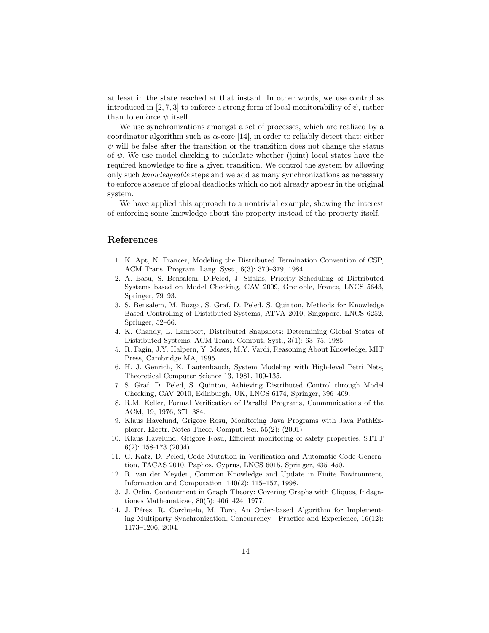at least in the state reached at that instant. In other words, we use control as introduced in [2, 7, 3] to enforce a strong form of local monitorability of  $\psi$ , rather than to enforce  $\psi$  itself.

We use synchronizations amongst a set of processes, which are realized by a coordinator algorithm such as  $\alpha$ -core [14], in order to reliably detect that: either  $\psi$  will be false after the transition or the transition does not change the status of  $\psi$ . We use model checking to calculate whether (joint) local states have the required knowledge to fire a given transition. We control the system by allowing only such knowledgeable steps and we add as many synchronizations as necessary to enforce absence of global deadlocks which do not already appear in the original system.

We have applied this approach to a nontrivial example, showing the interest of enforcing some knowledge about the property instead of the property itself.

# References

- 1. K. Apt, N. Francez, Modeling the Distributed Termination Convention of CSP, ACM Trans. Program. Lang. Syst., 6(3): 370–379, 1984.
- 2. A. Basu, S. Bensalem, D.Peled, J. Sifakis, Priority Scheduling of Distributed Systems based on Model Checking, CAV 2009, Grenoble, France, LNCS 5643, Springer, 79–93.
- 3. S. Bensalem, M. Bozga, S. Graf, D. Peled, S. Quinton, Methods for Knowledge Based Controlling of Distributed Systems, ATVA 2010, Singapore, LNCS 6252, Springer, 52–66.
- 4. K. Chandy, L. Lamport, Distributed Snapshots: Determining Global States of Distributed Systems, ACM Trans. Comput. Syst., 3(1): 63–75, 1985.
- 5. R. Fagin, J.Y. Halpern, Y. Moses, M.Y. Vardi, Reasoning About Knowledge, MIT Press, Cambridge MA, 1995.
- 6. H. J. Genrich, K. Lautenbauch, System Modeling with High-level Petri Nets, Theoretical Computer Science 13, 1981, 109-135.
- 7. S. Graf, D. Peled, S. Quinton, Achieving Distributed Control through Model Checking, CAV 2010, Edinburgh, UK, LNCS 6174, Springer, 396–409.
- 8. R.M. Keller, Formal Verification of Parallel Programs, Communications of the ACM, 19, 1976, 371–384.
- 9. Klaus Havelund, Grigore Rosu, Monitoring Java Programs with Java PathExplorer. Electr. Notes Theor. Comput. Sci. 55(2): (2001)
- 10. Klaus Havelund, Grigore Rosu, Efficient monitoring of safety properties. STTT 6(2): 158-173 (2004)
- 11. G. Katz, D. Peled, Code Mutation in Verification and Automatic Code Generation, TACAS 2010, Paphos, Cyprus, LNCS 6015, Springer, 435–450.
- 12. R. van der Meyden, Common Knowledge and Update in Finite Environment, Information and Computation, 140(2): 115–157, 1998.
- 13. J. Orlin, Contentment in Graph Theory: Covering Graphs with Cliques, Indagationes Mathematicae, 80(5): 406–424, 1977.
- 14. J. Pérez, R. Corchuelo, M. Toro, An Order-based Algorithm for Implementing Multiparty Synchronization, Concurrency - Practice and Experience, 16(12): 1173–1206, 2004.